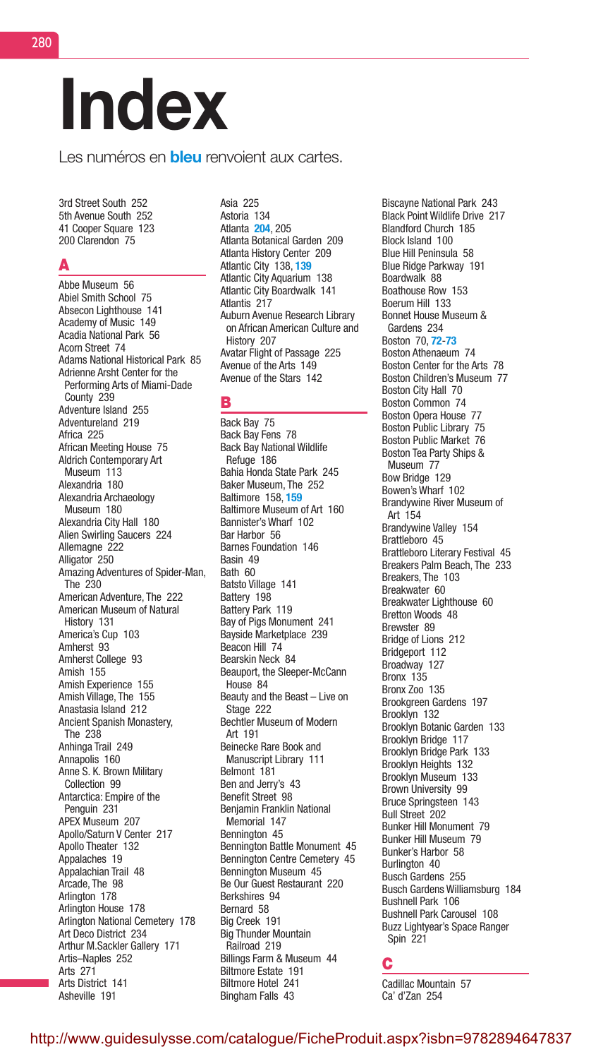# Index

Les numéros en **bleu** renvoient aux cartes.

3rd Street South 252 5th Avenue South 252 41 Cooper Square 123 200 Clarendon 75

### A

Abbe Museum 56 Abiel Smith School 75 Absecon Lighthouse 141 Academy of Music 149 Acadia National Park 56 Acorn Street 74 Adams National Historical Park 85 Adrienne Arsht Center for the Performing Arts of Miami-Dade County 239 Adventure Island 255 Adventureland 219 Africa 225 African Meeting House 75 Aldrich Contemporary Art Museum 113 Alexandria 180 Alexandria Archaeology Museum 180 Alexandria City Hall 180 Alien Swirling Saucers 224 Allemagne 222 Alligator 250 Amazing Adventures of Spider-Man, The 230 American Adventure, The 222 American Museum of Natural History 131 America's Cup 103 Amherst 93 Amherst College 93 Amish 155 Amish Experience 155 Amish Village, The 155 Anastasia Island 212 Ancient Spanish Monastery, The 238 Anhinga Trail 249 Annapolis 160 Anne S. K. Brown Military Collection 99 Antarctica: Empire of the Penguin 231 APEX Museum 207 Apollo/Saturn V Center 217 Apollo Theater 132 Appalaches 19 Appalachian Trail 48 Arcade, The 98 Arlington 178 Arlington House 178 Arlington National Cemetery 178 Art Deco District 234 Arthur M.Sackler Gallery 171 Artis–Naples 252 Arts 271 Arts District 141 Asheville 191

Asia 225 Astoria 134 Atlanta 204, 205 Atlanta Botanical Garden 209 Atlanta History Center 209 Atlantic City 138, 139 Atlantic City Aquarium 138 Atlantic City Boardwalk 141 Atlantis 217 Auburn Avenue Research Library on African American Culture and History 207 Avatar Flight of Passage 225 Avenue of the Arts 149 Avenue of the Stars 142

### B

Back Bay 75 Back Bay Fens 78 Back Bay National Wildlife Refuge 186 Bahia Honda State Park 245 Baker Museum, The 252 Baltimore 158, 159 Baltimore Museum of Art 160 Bannister's Wharf 102 Bar Harbor 56 Barnes Foundation 146 Basin 49 Bath 60 Batsto Village 141 Battery 198 Battery Park 119 Bay of Pigs Monument 241 Bayside Marketplace 239 Beacon Hill 74 Bearskin Neck 84 Beauport, the Sleeper-McCann House 84 Beauty and the Beast – Live on Stage 222 Bechtler Museum of Modern Art 191 Beinecke Rare Book and Manuscript Library 111 Belmont 181 Ben and Jerry's 43 Benefit Street 98 Benjamin Franklin National Memorial 147 Bennington 45 Bennington Battle Monument 45 Bennington Centre Cemetery 45 Bennington Museum 45 Be Our Guest Restaurant 220 Berkshires 94 Bernard 58 Big Creek 191 Big Thunder Mountain Railroad 219 Billings Farm & Museum 44 Biltmore Estate 191 Biltmore Hotel 241 Bingham Falls 43

Biscayne National Park 243 Black Point Wildlife Drive 217 Blandford Church 185 Block Island 100 Blue Hill Peninsula 58 Blue Ridge Parkway 191 Boardwalk 88 Boathouse Row 153 Boerum Hill 133 Bonnet House Museum & Gardens 234 Boston 70, 72-73 Boston Athenaeum 74 Boston Center for the Arts 78 Boston Children's Museum 77 Boston City Hall 70 Boston Common 74 Boston Opera House 77 Boston Public Library 75 Boston Public Market 76 Boston Tea Party Ships & Museum 77 Bow Bridge 129 Bowen's Wharf 102 Brandywine River Museum of Art 154 Brandywine Valley 154 Brattleboro 45 Brattleboro Literary Festival 45 Breakers Palm Beach, The 233 Breakers, The 103 Breakwater 60 Breakwater Lighthouse 60 Bretton Woods 48 Brewster 89 Bridge of Lions 212 Bridgeport 112 Broadway 127 Bronx 135 Bronx Zoo 135 Brookgreen Gardens 197 Brooklyn 132 Brooklyn Botanic Garden 133 Brooklyn Bridge 117 Brooklyn Bridge Park 133 Brooklyn Heights 132 Brooklyn Museum 133 Brown University 99 Bruce Springsteen 143 Bull Street 202 Bunker Hill Monument 79 Bunker Hill Museum 79 Bunker's Harbor 58 Burlington 40 Busch Gardens 255 Busch Gardens Williamsburg 184 Bushnell Park 106 Bushnell Park Carousel 108 Buzz Lightyear's Space Ranger Spin 221

# C

Cadillac Mountain 57 Ca' d'Zan 254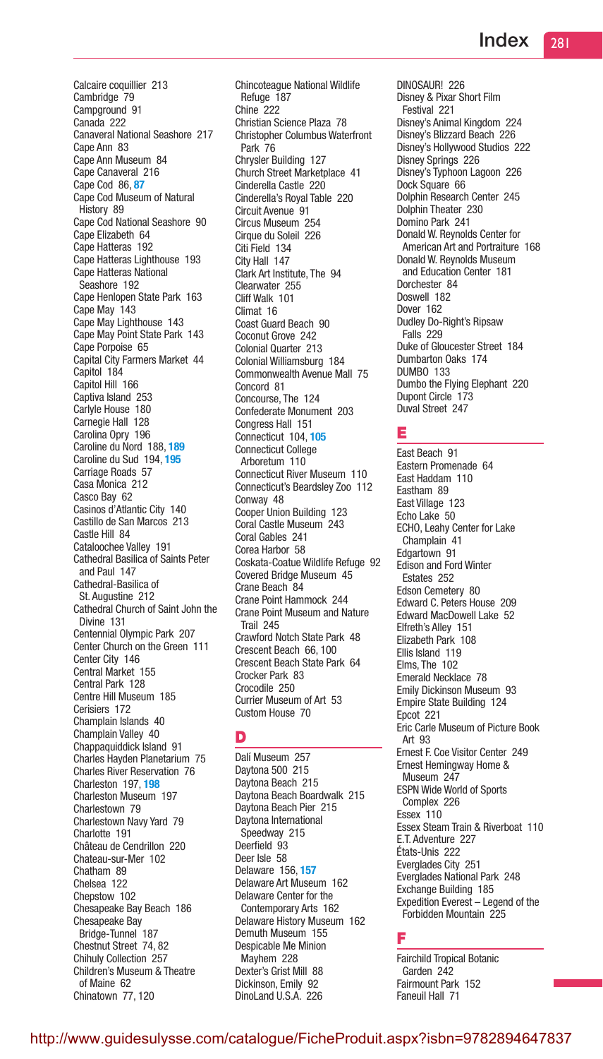Calcaire coquillier 213 Cambridge 79 Campground 91 Canada 222 Canaveral National Seashore 217 Cape Ann 83 Cape Ann Museum 84 Cape Canaveral 216 Cape Cod 86, 87 Cape Cod Museum of Natural History 89 Cape Cod National Seashore 90 Cape Elizabeth 64 Cape Hatteras 192 Cape Hatteras Lighthouse 193 Cape Hatteras National Seashore 192 Cape Henlopen State Park 163 Cape May 143 Cape May Lighthouse 143 Cape May Point State Park 143 Cape Porpoise 65 Capital City Farmers Market 44 Capitol 184 Capitol Hill 166 Captiva Island 253 Carlyle House 180 Carnegie Hall 128 Carolina Opry 196 Caroline du Nord 188, 189 Caroline du Sud 194, 195 Carriage Roads 57 Casa Monica 212 Casco Bay 62 Casinos d'Atlantic City 140 Castillo de San Marcos 213 Castle Hill 84 Cataloochee Valley 191 Cathedral Basilica of Saints Peter and Paul 147 Cathedral-Basilica of St. Augustine 212 Cathedral Church of Saint John the Divine 131 Centennial Olympic Park 207 Center Church on the Green 111 Center City 146 Central Market 155 Central Park 128 Centre Hill Museum 185 Cerisiers 172 Champlain Islands 40 Champlain Valley 40 Chappaquiddick Island 91 Charles Hayden Planetarium 75 Charles River Reservation 76 Charleston 197, 198 Charleston Museum 197 Charlestown 79 Charlestown Navy Yard 79 Charlotte 191 Château de Cendrillon 220 Chateau-sur-Mer 102 Chatham 89 Chelsea 122 Chepstow 102 Chesapeake Bay Beach 186 Chesapeake Bay Bridge-Tunnel 187 Chestnut Street 74, 82 Chihuly Collection 257 Children's Museum & Theatre of Maine 62 Chinatown 77, 120

Chincoteague National Wildlife Refuge 187 Chine<sup>2</sup>22 Christian Science Plaza 78 Christopher Columbus Waterfront Park 76 Chrysler Building 127 Church Street Marketplace 41 Cinderella Castle 220 Cinderella's Royal Table 220 Circuit Avenue 91 Circus Museum 254 Cirque du Soleil 226 Citi Field 134 City Hall 147 Clark Art Institute, The 94 Clearwater 255 Cliff Walk 101 Climat 16 Coast Guard Beach 90 Coconut Grove 242 Colonial Quarter 213 Colonial Williamsburg 184 Commonwealth Avenue Mall 75 Concord 81 Concourse, The 124 Confederate Monument 203 Congress Hall 151 Connecticut 104, 105 Connecticut College Arboretum 110 Connecticut River Museum 110 Connecticut's Beardsley Zoo 112 Conway 48 Cooper Union Building 123 Coral Castle Museum 243 Coral Gables 241 Corea Harbor 58 Coskata-Coatue Wildlife Refuge 92 Covered Bridge Museum 45 Crane Beach 84 Crane Point Hammock 244 Crane Point Museum and Nature Trail 245 Crawford Notch State Park 48 Crescent Beach 66, 100 Crescent Beach State Park 64 Crocker Park 83 Crocodile 250 Currier Museum of Art 53 Custom House 70

# D

Dalí Museum 257 Daytona 500 215 Daytona Beach 215 Daytona Beach Boardwalk 215 Daytona Beach Pier 215 Daytona International Speedway 215 Deerfield 93 Deer Isle 58 Delaware 156, 157 Delaware Art Museum 162 Delaware Center for the Contemporary Arts 162 Delaware History Museum 162 Demuth Museum 155 Despicable Me Minion Mayhem 228 Dexter's Grist Mill 88 Dickinson, Emily 92 DinoLand U.S.A. 226

DINOSAUR! 226 Disney & Pixar Short Film Festival 221 Disney's Animal Kingdom 224 Disney's Blizzard Beach 226 Disney's Hollywood Studios 222 Disney Springs 226 Disney's Typhoon Lagoon 226 Dock Square 66 Dolphin Research Center 245 Dolphin Theater 230 Domino Park 241 Donald W. Reynolds Center for American Art and Portraiture 168 Donald W. Reynolds Museum and Education Center 181 Dorchester 84 Doswell 182 Dover 162 Dudley Do-Right's Ripsaw Falls 229 Duke of Gloucester Street 184 Dumbarton Oaks 174 DUMBO 133 Dumbo the Flying Elephant 220 Dupont Circle 173 Duval Street 247

# E

East Beach 91 Eastern Promenade 64 East Haddam 110 Eastham 89 East Village 123 Echo Lake 50 ECHO, Leahy Center for Lake Champlain 41 Edgartown 91 Edison and Ford Winter Estates 252 Edson Cemetery 80 Edward C. Peters House 209 Edward MacDowell Lake 52 Elfreth's Alley 151 Elizabeth Park 108 Ellis Island 119 Elms, The 102 Emerald Necklace 78 Emily Dickinson Museum 93 Empire State Building 124 Epcot 221 Eric Carle Museum of Picture Book Art 93 Ernest F. Coe Visitor Center 249 Ernest Hemingway Home & Museum 247 ESPN Wide World of Sports Complex 226 Essex 110 Essex Steam Train & Riverboat 110 E.T. Adventure 227 États-Unis 222 Everglades City 251 Everglades National Park 248 Exchange Building 185 Expedition Everest – Legend of the Forbidden Mountain 225

# F

Fairchild Tropical Botanic Garden 242 Fairmount Park 152 Faneuil Hall 71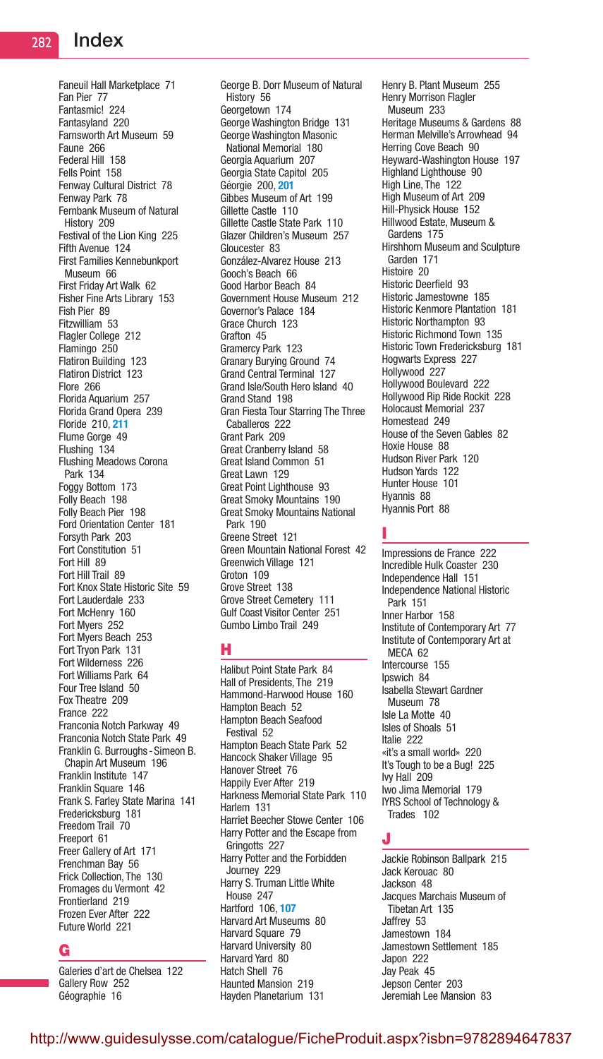Faneuil Hall Marketplace 71 Fan Pier 77 Fantasmic! 224 Fantasyland 220 Farnsworth Art Museum 59 Faune 266 Federal Hill 158 Fells Point 158 Fenway Cultural District 78 Fenway Park 78 Fernbank Museum of Natural History 209 Festival of the Lion King 225 Fifth Avenue 124 First Families Kennebunkport Museum 66 First Friday Art Walk 62 Fisher Fine Arts Library 153 Fish Pier 89 Fitzwilliam 53 Flagler College 212 Flamingo 250 Flatiron Building 123 Flatiron District 123 Flore 266 Florida Aquarium 257 Florida Grand Opera 239 Floride 210, 211 Flume Gorge 49 Flushing 134 Flushing Meadows Corona Park 134 Foggy Bottom 173 Folly Beach 198 Folly Beach Pier 198 Ford Orientation Center 181 Forsyth Park 203 Fort Constitution 51 Fort Hill 89 Fort Hill Trail 89 Fort Knox State Historic Site 59 Fort Lauderdale 233 Fort McHenry 160 Fort Myers 252 Fort Myers Beach 253 Fort Tryon Park 131 Fort Wilderness 226 Fort Williams Park 64 Four Tree Island 50 Fox Theatre 209 France 222 Franconia Notch Parkway 49 Franconia Notch State Park 49 Franklin G. Burroughs -Simeon B. Chapin Art Museum 196 Franklin Institute 147 Franklin Square 146 Frank S. Farley State Marina 141 Fredericksburg 181 Freedom Trail 70 Freeport 61 Freer Gallery of Art 171 Frenchman Bay 56 Frick Collection, The 130 Fromages du Vermont 42 Frontierland 219 Frozen Ever After 222 Future World 221

#### G

Galeries d'art de Chelsea 122 Gallery Row 252 Géographie 16

George B. Dorr Museum of Natural History 56 Georgetown 174 George Washington Bridge 131 George Washington Masonic National Memorial 180 Georgia Aquarium 207 Georgia State Capitol 205 Géorgie 200, 201 Gibbes Museum of Art 199 Gillette Castle 110 Gillette Castle State Park 110 Glazer Children's Museum 257 Gloucester 83 González-Alvarez House 213 Gooch's Beach 66 Good Harbor Beach 84 Government House Museum 212 Governor's Palace 184 Grace Church 123 Grafton 45 Gramercy Park 123 Granary Burying Ground 74 Grand Central Terminal 127 Grand Isle/South Hero Island 40 Grand Stand 198 Gran Fiesta Tour Starring The Three Caballeros 222 Grant Park 209 Great Cranberry Island 58 Great Island Common 51 Great Lawn 129 Great Point Lighthouse 93 Great Smoky Mountains 190 Great Smoky Mountains National Park 190 Greene Street 121 Green Mountain National Forest 42 Greenwich Village 121 Groton 109 Grove Street 138 Grove Street Cemetery 111 Gulf Coast Visitor Center 251 Gumbo Limbo Trail 249

# H

Halibut Point State Park 84 Hall of Presidents, The 219 Hammond-Harwood House 160 Hampton Beach 52 Hampton Beach Seafood Festival 52 Hampton Beach State Park 52 Hancock Shaker Village 95 Hanover Street 76 Happily Ever After 219 Harkness Memorial State Park 110 Harlem 131 Harriet Beecher Stowe Center 106 Harry Potter and the Escape from Gringotts 227 Harry Potter and the Forbidden Journey 229 Harry S. Truman Little White House 247 Hartford 106, 107 Harvard Art Museums 80 Harvard Square 79 Harvard University 80 Harvard Yard 80 Hatch Shell 76 Haunted Mansion 219 Hayden Planetarium 131

Henry B. Plant Museum 255 Henry Morrison Flagler Museum 233 Heritage Museums & Gardens 88 Herman Melville's Arrowhead 94 Herring Cove Beach 90 Heyward-Washington House 197 Highland Lighthouse 90 High Line, The 122 High Museum of Art 209 Hill-Physick House 152 Hillwood Estate, Museum & Gardens 175 Hirshhorn Museum and Sculpture Garden 171 Histoire 20 Historic Deerfield 93 Historic Jamestowne 185 Historic Kenmore Plantation 181 Historic Northampton 93 Historic Richmond Town 135 Historic Town Fredericksburg 181 Hogwarts Express 227 Hollywood 227 Hollywood Boulevard 222 Hollywood Rip Ride Rockit 228 Holocaust Memorial 237 Homestead 249 House of the Seven Gables 82 Hoxie House 88 Hudson River Park 120 Hudson Yards 122 Hunter House 101 Hyannis 88 Hyannis Port 88

# I

Impressions de France 222 Incredible Hulk Coaster 230 Independence Hall 151 Independence National Historic Park 151 Inner Harbor 158 Institute of Contemporary Art 77 Institute of Contemporary Art at MECA 62 Intercourse 155 Ipswich 84 Isabella Stewart Gardner Museum 78 Isle La Motte 40 Isles of Shoals 51 Italie 222 «it's a small world» 220 It's Tough to be a Bug! 225 Ivy Hall 209 Iwo Jima Memorial 179 IYRS School of Technology & Trades 102

# J

Jackie Robinson Ballpark 215 Jack Kerouac 80 Jackson 48 Jacques Marchais Museum of Tibetan Art 135 Jaffrey 53 Jamestown 184 Jamestown Settlement 185 Japon 222 Jay Peak 45 Jepson Center 203 Jeremiah Lee Mansion 83

http://www.guidesulysse.com/catalogue/FicheProduit.aspx?isbn=9782894647837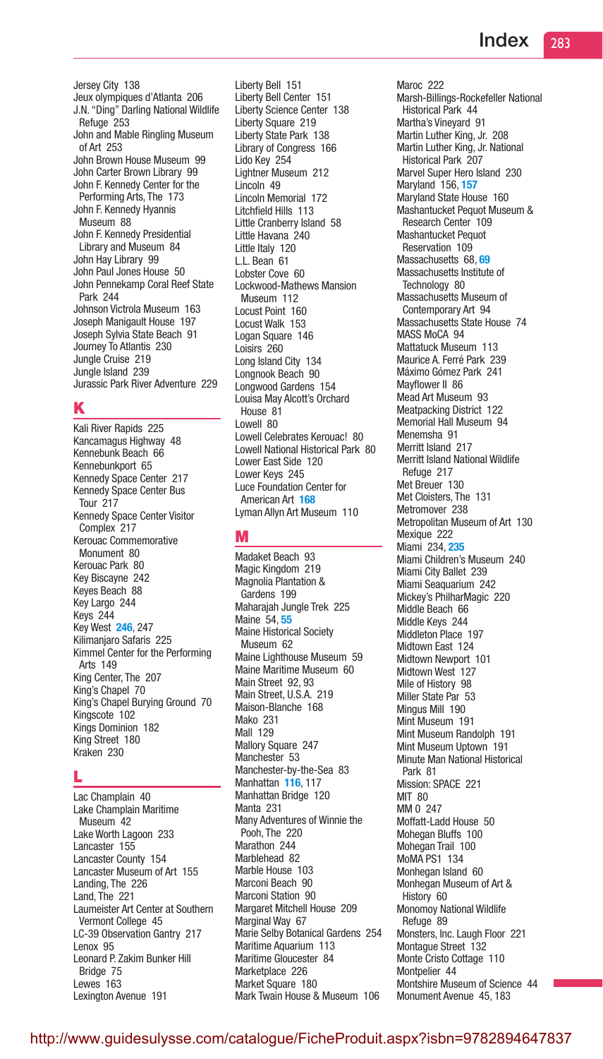Jersey City 138 Jeux olympiques d'Atlanta 206 J.N. "Ding" Darling National Wildlife Refuge 253 John and Mable Ringling Museum of Art 253 John Brown House Museum 99 John Carter Brown Library 99 John F. Kennedy Center for the Performing Arts, The 173 John F. Kennedy Hyannis Museum 88 John F. Kennedy Presidential Library and Museum 84 John Hay Library 99 John Paul Jones House 50 John Pennekamp Coral Reef State Park 244 Johnson Victrola Museum 163 Joseph Manigault House 197 Joseph Sylvia State Beach 91 Journey To Atlantis 230 Jungle Cruise 219 Jungle Island 239 Jurassic Park River Adventure 229

# K

Kali River Rapids 225 Kancamagus Highway 48 Kennebunk Beach 66 Kennebunkport 65 Kennedy Space Center 217 Kennedy Space Center Bus Tour 217 Kennedy Space Center Visitor Complex 217 Kerouac Commemorative Monument 80 Kerouac Park 80 Key Biscayne 242 Keyes Beach 88 Key Largo 244 Keys 244 Key West 246, 247 Kilimanjaro Safaris 225 Kimmel Center for the Performing Arts 149 King Center, The 207 King's Chapel 70 King's Chapel Burying Ground 70 Kingscote 102 Kings Dominion 182 King Street 180 Kraken 230

# L

Lac Champlain 40 Lake Champlain Maritime Museum 42 Lake Worth Lagoon 233 Lancaster 155 Lancaster County 154 Lancaster Museum of Art 155 Landing, The 226 Land, The 221 Laumeister Art Center at Southern Vermont College 45 LC-39 Observation Gantry 217 Lenox 95 Leonard P. Zakim Bunker Hill Bridge 75 Lewes 163 Lexington Avenue 191

Liberty Bell 151 Liberty Bell Center 151 Liberty Science Center 138 Liberty Square 219 Liberty State Park 138 Library of Congress 166 Lido Key 254 Lightner Museum 212 Lincoln 49 Lincoln Memorial 172 Litchfield Hills 113 Little Cranberry Island 58 Little Havana 240 Little Italy 120 L.L. Bean 61 Lobster Cove 60 Lockwood-Mathews Mansion Museum 112 Locust Point 160 Locust Walk 153 Logan Square 146 Loisirs 260 Long Island City 134 Longnook Beach 90 Longwood Gardens 154 Louisa May Alcott's Orchard House 81 Lowell 80 Lowell Celebrates Kerouac! 80 Lowell National Historical Park 80 Lower East Side 120 Lower Keys 245 Luce Foundation Center for American Art 168 Lyman Allyn Art Museum 110

# M

Madaket Beach 93 Magic Kingdom 219 Magnolia Plantation & Gardens 199 Maharajah Jungle Trek 225 Maine 54, 55 Maine Historical Society Museum 62 Maine Lighthouse Museum 59 Maine Maritime Museum 60 Main Street 92, 93 Main Street, U.S.A. 219 Maison-Blanche 168 Mako 231 Mall 129 Mallory Square 247 Manchester 53 Manchester-by-the-Sea 83 Manhattan **116**, 117 Manhattan Bridge 120 Manta 231 Many Adventures of Winnie the Pooh, The 220 Marathon 244 Marblehead 82 Marble House 103 Marconi Beach 90 Marconi Station 90 Margaret Mitchell House 209 Marginal Way 67 Marie Selby Botanical Gardens 254 Maritime Aquarium 113 Maritime Gloucester 84 Marketplace 226 Market Square 180 Mark Twain House & Museum 106

Maroc 222 Marsh-Billings-Rockefeller National Historical Park 44 Martha's Vineyard 91 Martin Luther King, Jr. 208 Martin Luther King, Jr. National Historical Park 207 Marvel Super Hero Island 230 Maryland 156, 157 Maryland State House 160 Mashantucket Pequot Museum & Research Center 109 Mashantucket Pequot Reservation 109 Massachusetts 68, 69 Massachusetts Institute of Technology 80 Massachusetts Museum of Contemporary Art 94 Massachusetts State House 74 MASS MoCA 94 Mattatuck Museum 113 Maurice A. Ferré Park 239 Máximo Gómez Park 241 Mayflower II 86 Mead Art Museum 93 Meatpacking District 122 Memorial Hall Museum 94 Menemsha 91 Merritt Island 217 Merritt Island National Wildlife Refuge 217 Met Breuer 130 Met Cloisters, The 131 Metromover 238 Metropolitan Museum of Art 130 Mexique 222 Miami 234, 235 Miami Children's Museum 240 Miami City Ballet 239 Miami Seaquarium 242 Mickey's PhilharMagic 220 Middle Beach 66 Middle Keys 244 Middleton Place 197 Midtown East 124 Midtown Newport 101 Midtown West 127 Mile of History 98 Miller State Par 53 Mingus Mill 190 Mint Museum 191 Mint Museum Randolph 191 Mint Museum Uptown 191 Minute Man National Historical Park 81 Mission: SPACE 221 **MIT 80** MM 0 247 Moffatt-Ladd House 50 Mohegan Bluffs 100 Mohegan Trail 100 MoMA PS1 134 Monhegan Island 60 Monhegan Museum of Art & History 60 Monomoy National Wildlife Refuge 89 Monsters, Inc. Laugh Floor 221 Montague Street 132 Monte Cristo Cottage 110 Montpelier 44 Montshire Museum of Science 44 Monument Avenue 45, 183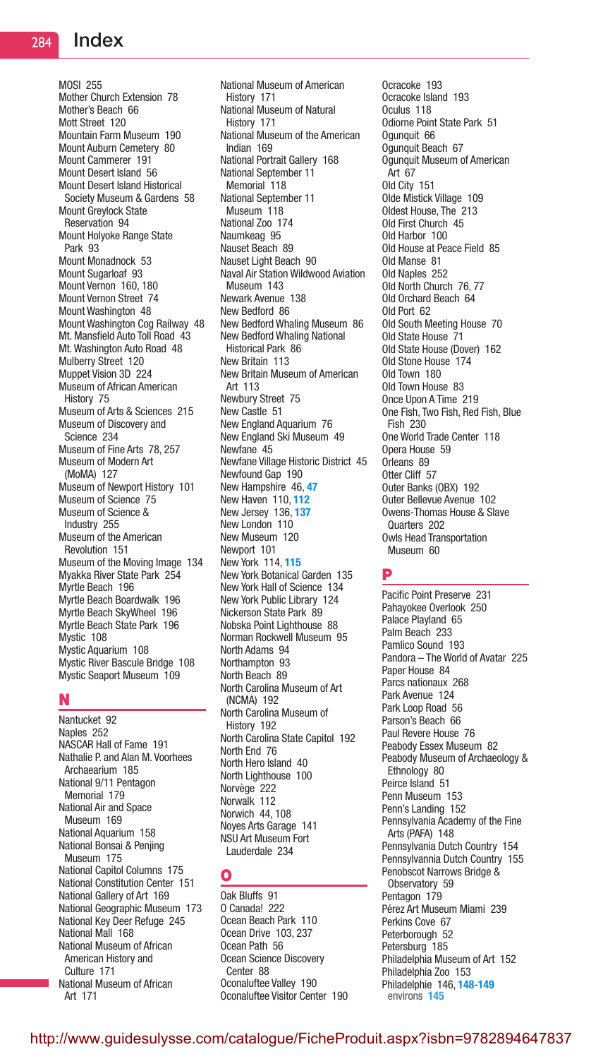MOSI 255 Mother Church Extension 78 Mother's Beach 66 Mott Street 120 Mountain Farm Museum 190 Mount Auburn Cemetery 80 Mount Cammerer 191 Mount Desert Island 56 Mount Desert Island Historical Society Museum & Gardens 58 Mount Greylock State Reservation 94 Mount Holyoke Range State Park 93 Mount Monadnock 53 Mount Sugarloaf 93 Mount Vernon 160, 180 Mount Vernon Street 74 Mount Washington 48 Mount Washington Cog Railway 48 Mt. Mansfield Auto Toll Road 43 Mt. Washington Auto Road 48 Mulberry Street 120 Muppet Vision 3D 224 Museum of African American History 75 Museum of Arts & Sciences 215 Museum of Discovery and Science 234 Museum of Fine Arts 78, 257 Museum of Modern Art (MoMA) 127 Museum of Newport History 101 Museum of Science 75 Museum of Science & Industry 255 Museum of the American Revolution 151 Museum of the Moving Image 134 Myakka River State Park 254 Myrtle Beach 196 Myrtle Beach Boardwalk 196 Myrtle Beach SkyWheel 196 Myrtle Beach State Park 196 Mystic 108 Mystic Aquarium 108 Mystic River Bascule Bridge 108 Mystic Seaport Museum 109

# N

Nantucket 92 Naples 252 NASCAR Hall of Fame 191 Nathalie P. and Alan M. Voorhees Archaearium 185 National 9/11 Pentagon Memorial 179 National Air and Space Museum 169 National Aquarium 158 National Bonsai & Penjing Museum 175 National Capitol Columns 175 National Constitution Center 151 National Gallery of Art 169 National Geographic Museum 173 National Key Deer Refuge 245 National Mall 168 National Museum of African American History and Culture 171 National Museum of African Art 171

National Museum of American History 171 National Museum of Natural History 171 National Museum of the American Indian 169 National Portrait Gallery 168 National September 11 Memorial 118 National September 11 Museum 118 National Zoo 174 Naumkeag 95 Nauset Beach 89 Nauset Light Beach 90 Naval Air Station Wildwood Aviation Museum 143 Newark Avenue 138 New Bedford 86 New Bedford Whaling Museum 86 New Bedford Whaling National Historical Park 86 New Britain 113 New Britain Museum of American Art 113 Newbury Street 75 New Castle 51 New England Aquarium 76 New England Ski Museum 49 Newfane 45 Newfane Village Historic District 45 Newfound Gap 190 New Hampshire 46, 47 New Haven 110, 112 New Jersey 136, 137 New London 110 New Museum 120 Newport 101 New York 114, 115 New York Botanical Garden 135 New York Hall of Science 134 New York Public Library 124 Nickerson State Park 89 Nobska Point Lighthouse 88 Norman Rockwell Museum 95 North Adams 94 Northampton 93 North Beach 89 North Carolina Museum of Art (NCMA) 192 North Carolina Museum of History 192 North Carolina State Capitol 192 North End 76 North Hero Island 40 North Lighthouse 100 Norvège 222 Norwalk 112 Norwich 44, 108 Noyes Arts Garage 141 NSU Art Museum Fort Lauderdale 234

# O

Oak Bluffs 91 O Canada! 222 Ocean Beach Park 110 Ocean Drive 103, 237 Ocean Path 56 Ocean Science Discovery Center 88 Oconaluftee Valley 190 Oconaluftee Visitor Center 190

Ocracoke 193 Ocracoke Island 193 Oculus 118 Odiorne Point State Park 51 Ogunquit 66 Ogunquit Beach 67 Ogunquit Museum of American Art 67 Old City 151 Olde Mistick Village 109 Oldest House, The 213 Old First Church 45 Old Harbor 100 Old House at Peace Field 85 Old Manse 81 Old Naples 252 Old North Church 76, 77 Old Orchard Beach 64 Old Port 62 Old South Meeting House 70 Old State House 71 Old State House (Dover) 162 Old Stone House 174 Old Town 180 Old Town House 83 Once Upon A Time 219 One Fish, Two Fish, Red Fish, Blue Fish 230 One World Trade Center 118 Opera House 59 Orleans 89 Otter Cliff 57 Outer Banks (OBX) 192 Outer Bellevue Avenue 102 Owens-Thomas House & Slave Quarters 202 Owls Head Transportation Museum 60

# P

Pacific Point Preserve 231 Pahayokee Overlook 250 Palace Playland 65 Palm Beach 233 Pamlico Sound 193 Pandora – The World of Avatar 225 Paper House 84 Parcs nationaux 268 Park Avenue 124 Park Loop Road 56 Parson's Beach 66 Paul Revere House 76 Peabody Essex Museum 82 Peabody Museum of Archaeology & Ethnology 80 Peirce Island 51 Penn Museum 153 Penn's Landing 152 Pennsylvania Academy of the Fine Arts (PAFA) 148 Pennsylvania Dutch Country 154 Pennsylvannia Dutch Country 155 Penobscot Narrows Bridge & Observatory 59 Pentagon 179 Pérez Art Museum Miami 239 Perkins Cove 67 Peterborough 52 Petersburg 185 Philadelphia Museum of Art 152 Philadelphia Zoo 153 Philadelphie 146, 148-149 environs 145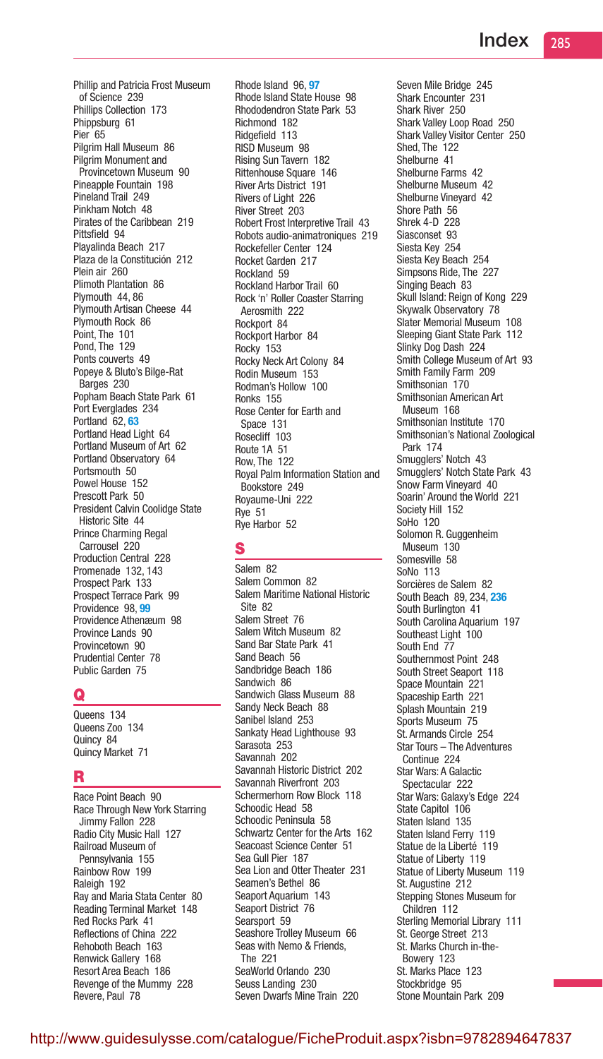Phillip and Patricia Frost Museum of Science 239 Phillips Collection 173 Phippsburg 61 Pier 65 Pilgrim Hall Museum 86 Pilgrim Monument and Provincetown Museum 90 Pineapple Fountain 198 Pineland Trail 249 Pinkham Notch 48 Pirates of the Caribbean 219 Pittsfield 94 Playalinda Beach 217 Plaza de la Constitución 212 Plein air 260 Plimoth Plantation 86 Plymouth 44, 86 Plymouth Artisan Cheese 44 Plymouth Rock 86 Point, The 101 Pond, The 129 Ponts couverts 49 Popeye & Bluto's Bilge-Rat Barges 230 Popham Beach State Park 61 Port Everglades 234 Portland 62.63 Portland Head Light 64 Portland Museum of Art 62 Portland Observatory 64 Portsmouth 50 Powel House 152 Prescott Park 50 President Calvin Coolidge State Historic Site 44 Prince Charming Regal Carrousel 220 Production Central 228 Promenade 132, 143 Prospect Park 133 Prospect Terrace Park 99 Providence 98, 99 Providence Athenæum 98 Province Lands 90 Provincetown 90 Prudential Center 78 Public Garden 75

# Q

Queens 134 Queens Zoo 134 Quincy 84 Quincy Market 71

# R

Race Point Beach 90 Race Through New York Starring Jimmy Fallon 228 Radio City Music Hall 127 Railroad Museum of Pennsylvania 155 Rainbow Row 199 Raleigh 192 Ray and Maria Stata Center 80 Reading Terminal Market 148 Red Rocks Park 41 Reflections of China 222 Rehoboth Beach 163 Renwick Gallery 168 Resort Area Beach 186 Revenge of the Mummy 228 Revere, Paul 78

Rhode Island 96, 97 Rhode Island State House 98 Rhododendron State Park 53 Richmond 182 Ridgefield 113 RISD Museum 98 Rising Sun Tavern 182 Rittenhouse Square 146 River Arts District 191 Rivers of Light 226 River Street 203 Robert Frost Interpretive Trail 43 Robots audio-animatroniques 219 Rockefeller Center 124 Rocket Garden 217 Rockland 59 Rockland Harbor Trail 60 Rock 'n' Roller Coaster Starring Aerosmith 222 Rockport 84 Rockport Harbor 84 Rocky 153 Rocky Neck Art Colony 84 Rodin Museum 153 Rodman's Hollow 100 Ronks 155 Rose Center for Earth and Space 131 Rosecliff 103 Route 1A 51 Row, The 122 Royal Palm Information Station and Bookstore 249 Royaume-Uni 222 Rye 51 Rye Harbor 52

# S

Salem 82 Salem Common 82 Salem Maritime National Historic Site 82 Salem Street 76 Salem Witch Museum 82 Sand Bar State Park 41 Sand Beach 56 Sandbridge Beach 186 Sandwich 86 Sandwich Glass Museum 88 Sandy Neck Beach 88 Sanibel Island 253 Sankaty Head Lighthouse 93 Sarasota 253 Savannah 202 Savannah Historic District 202 Savannah Riverfront 203 Schermerhorn Row Block 118 Schoodic Head 58 Schoodic Peninsula 58 Schwartz Center for the Arts 162 Seacoast Science Center 51 Sea Gull Pier 187 Sea Lion and Otter Theater 231 Seamen's Bethel 86 Seaport Aquarium 143 Seaport District 76 Searsport 59 Seashore Trolley Museum 66 Seas with Nemo & Friends, The 221 SeaWorld Orlando 230 Seuss Landing 230 Seven Dwarfs Mine Train 220

Seven Mile Bridge 245 Shark Encounter 231 Shark River 250 Shark Valley Loop Road 250 Shark Valley Visitor Center 250 Shed, The 122 Shelburne 41 Shelburne Farms 42 Shelburne Museum 42 Shelburne Vineyard 42 Shore Path 56 Shrek 4-D 228 Siasconset 93 Siesta Key 254 Siesta Key Beach 254 Simpsons Ride, The 227 Singing Beach 83 Skull Island: Reign of Kong 229 Skywalk Observatory 78 Slater Memorial Museum 108 Sleeping Giant State Park 112 Slinky Dog Dash 224 Smith College Museum of Art 93 Smith Family Farm 209 Smithsonian 170 Smithsonian American Art Museum 168 Smithsonian Institute 170 Smithsonian's National Zoological Park 174 Smugglers' Notch 43 Smugglers' Notch State Park 43 Snow Farm Vineyard 40 Soarin' Around the World 221 Society Hill 152 SoHo 120 Solomon R. Guggenheim Museum 130 Somesville 58 SoNo 113 Sorcières de Salem 82 South Beach 89, 234, 236 South Burlington 41 South Carolina Aquarium 197 Southeast Light 100 South End 77 Southernmost Point 248 South Street Seaport 118 Space Mountain 221 Spaceship Earth 221 Splash Mountain 219 Sports Museum 75 St. Armands Circle 254 Star Tours – The Adventures Continue 224 Star Wars: A Galactic Spectacular 222 Star Wars: Galaxy's Edge 224 State Capitol 106 Staten Island 135 Staten Island Ferry 119 Statue de la Liberté 119 Statue of Liberty 119 Statue of Liberty Museum 119 St. Augustine 212 Stepping Stones Museum for Children 112 Sterling Memorial Library 111 St. George Street 213 St. Marks Church in-the-Bowery 123 St. Marks Place 123 Stockbridge 95 Stone Mountain Park 209